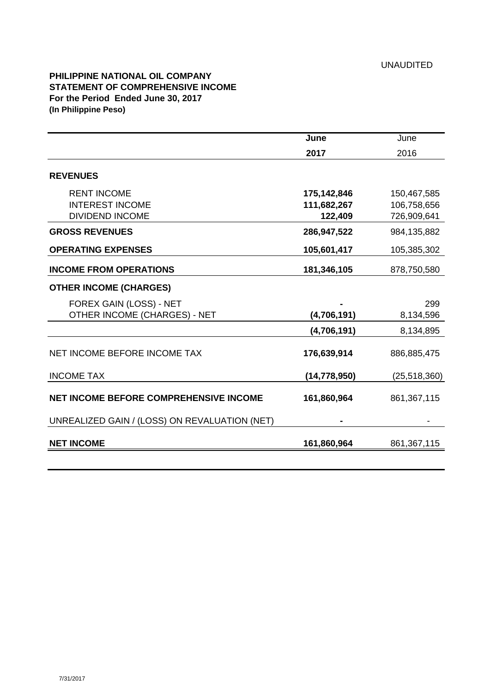## **PHILIPPINE NATIONAL OIL COMPANY STATEMENT OF COMPREHENSIVE INCOME For the Period Ended June 30, 2017 (In Philippine Peso)**

|                                                         | June                       | June                       |
|---------------------------------------------------------|----------------------------|----------------------------|
|                                                         | 2017                       | 2016                       |
| <b>REVENUES</b>                                         |                            |                            |
| <b>RENT INCOME</b><br><b>INTEREST INCOME</b>            | 175,142,846<br>111,682,267 | 150,467,585<br>106,758,656 |
| <b>DIVIDEND INCOME</b>                                  | 122,409                    | 726,909,641                |
| <b>GROSS REVENUES</b>                                   | 286,947,522                | 984,135,882                |
| <b>OPERATING EXPENSES</b>                               | 105,601,417                | 105,385,302                |
| <b>INCOME FROM OPERATIONS</b>                           | 181,346,105                | 878,750,580                |
| <b>OTHER INCOME (CHARGES)</b>                           |                            |                            |
| FOREX GAIN (LOSS) - NET<br>OTHER INCOME (CHARGES) - NET | (4,706,191)                | 299<br>8,134,596           |
|                                                         | (4,706,191)                | 8,134,895                  |
| NET INCOME BEFORE INCOME TAX                            | 176,639,914                | 886,885,475                |
| <b>INCOME TAX</b>                                       | (14, 778, 950)             | (25, 518, 360)             |
| <b>NET INCOME BEFORE COMPREHENSIVE INCOME</b>           | 161,860,964                | 861,367,115                |
| UNREALIZED GAIN / (LOSS) ON REVALUATION (NET)           |                            |                            |
| <b>NET INCOME</b>                                       | 161,860,964                | 861, 367, 115              |
|                                                         |                            |                            |